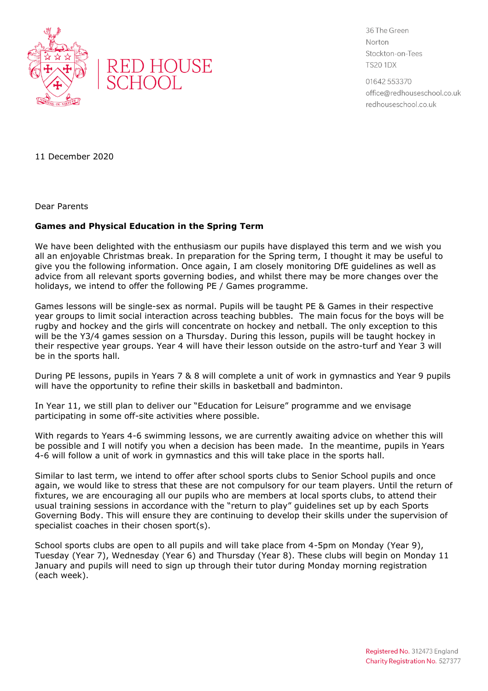



36 The Green Norton Stockton-on-Tees **TS20 1DX** 

01642 553370 office@redhouseschool.co.uk redhouseschool.co.uk

11 December 2020

Dear Parents

## **Games and Physical Education in the Spring Term**

We have been delighted with the enthusiasm our pupils have displayed this term and we wish you all an enjoyable Christmas break. In preparation for the Spring term, I thought it may be useful to give you the following information. Once again, I am closely monitoring DfE guidelines as well as advice from all relevant sports governing bodies, and whilst there may be more changes over the holidays, we intend to offer the following PE / Games programme.

Games lessons will be single-sex as normal. Pupils will be taught PE & Games in their respective year groups to limit social interaction across teaching bubbles. The main focus for the boys will be rugby and hockey and the girls will concentrate on hockey and netball. The only exception to this will be the Y3/4 games session on a Thursday. During this lesson, pupils will be taught hockey in their respective year groups. Year 4 will have their lesson outside on the astro-turf and Year 3 will be in the sports hall.

During PE lessons, pupils in Years 7 & 8 will complete a unit of work in gymnastics and Year 9 pupils will have the opportunity to refine their skills in basketball and badminton.

In Year 11, we still plan to deliver our "Education for Leisure" programme and we envisage participating in some off-site activities where possible.

With regards to Years 4-6 swimming lessons, we are currently awaiting advice on whether this will be possible and I will notify you when a decision has been made. In the meantime, pupils in Years 4-6 will follow a unit of work in gymnastics and this will take place in the sports hall.

Similar to last term, we intend to offer after school sports clubs to Senior School pupils and once again, we would like to stress that these are not compulsory for our team players. Until the return of fixtures, we are encouraging all our pupils who are members at local sports clubs, to attend their usual training sessions in accordance with the "return to play" guidelines set up by each Sports Governing Body. This will ensure they are continuing to develop their skills under the supervision of specialist coaches in their chosen sport(s).

School sports clubs are open to all pupils and will take place from 4-5pm on Monday (Year 9), Tuesday (Year 7), Wednesday (Year 6) and Thursday (Year 8). These clubs will begin on Monday 11 January and pupils will need to sign up through their tutor during Monday morning registration (each week).